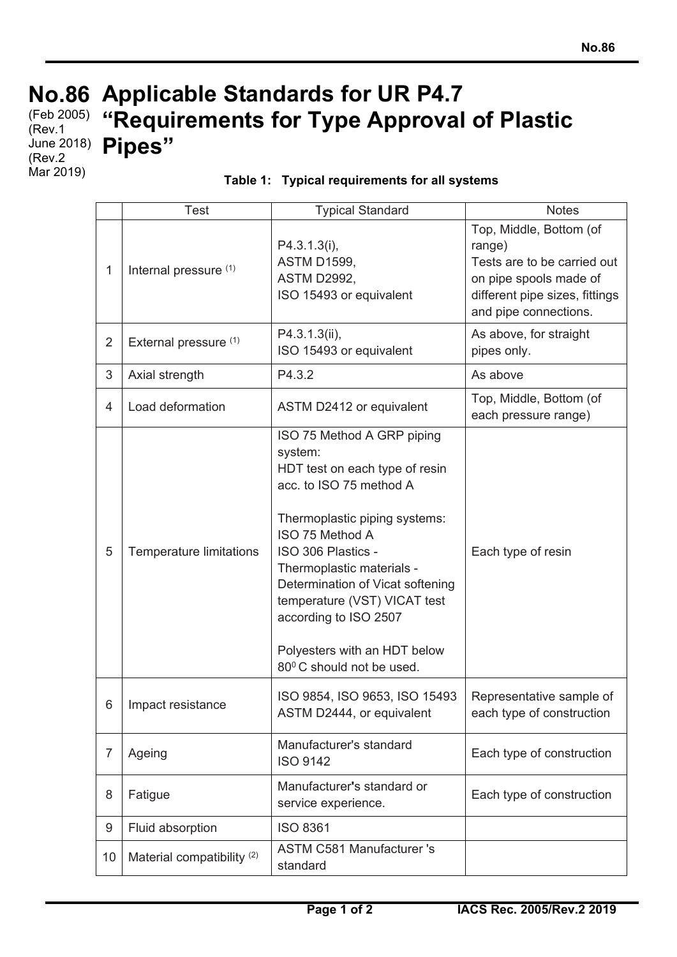## **No.86 Applicable Standards for UR P4.7**  (Feb 2005) **"Requirements for Type Approval of Plastic**  (Rev.1 June 2018) **Pipes"** (Rev.2 Mar 2019)

| Table 1: Typical requirements for all systems |
|-----------------------------------------------|
|-----------------------------------------------|

|                | <b>Test</b>                           | <b>Typical Standard</b>                                                                                                                                                                                                                                                                                                                                            | <b>Notes</b>                                                                                                                                          |
|----------------|---------------------------------------|--------------------------------------------------------------------------------------------------------------------------------------------------------------------------------------------------------------------------------------------------------------------------------------------------------------------------------------------------------------------|-------------------------------------------------------------------------------------------------------------------------------------------------------|
| 1              | Internal pressure (1)                 | P4.3.1.3(i),<br><b>ASTM D1599,</b><br><b>ASTM D2992,</b><br>ISO 15493 or equivalent                                                                                                                                                                                                                                                                                | Top, Middle, Bottom (of<br>range)<br>Tests are to be carried out<br>on pipe spools made of<br>different pipe sizes, fittings<br>and pipe connections. |
| $\overline{2}$ | External pressure (1)                 | P4.3.1.3(ii),<br>ISO 15493 or equivalent                                                                                                                                                                                                                                                                                                                           | As above, for straight<br>pipes only.                                                                                                                 |
| 3              | Axial strength                        | P4.3.2                                                                                                                                                                                                                                                                                                                                                             | As above                                                                                                                                              |
| $\overline{4}$ | Load deformation                      | ASTM D2412 or equivalent                                                                                                                                                                                                                                                                                                                                           | Top, Middle, Bottom (of<br>each pressure range)                                                                                                       |
| 5              | Temperature limitations               | ISO 75 Method A GRP piping<br>system:<br>HDT test on each type of resin<br>acc. to ISO 75 method A<br>Thermoplastic piping systems:<br>ISO 75 Method A<br>ISO 306 Plastics -<br>Thermoplastic materials -<br>Determination of Vicat softening<br>temperature (VST) VICAT test<br>according to ISO 2507<br>Polyesters with an HDT below<br>80°C should not be used. | Each type of resin                                                                                                                                    |
| 6              | Impact resistance                     | ISO 9854, ISO 9653, ISO 15493<br>ASTM D2444, or equivalent                                                                                                                                                                                                                                                                                                         | Representative sample of<br>each type of construction                                                                                                 |
| $\overline{7}$ | Ageing                                | Manufacturer's standard<br><b>ISO 9142</b>                                                                                                                                                                                                                                                                                                                         | Each type of construction                                                                                                                             |
| 8              | Fatigue                               | Manufacturer's standard or<br>service experience.                                                                                                                                                                                                                                                                                                                  | Each type of construction                                                                                                                             |
| 9              | Fluid absorption                      | <b>ISO 8361</b>                                                                                                                                                                                                                                                                                                                                                    |                                                                                                                                                       |
| 10             | Material compatibility <sup>(2)</sup> | <b>ASTM C581 Manufacturer 's</b><br>standard                                                                                                                                                                                                                                                                                                                       |                                                                                                                                                       |